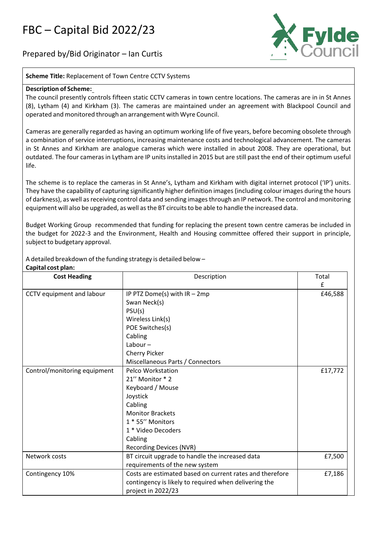## FBC – Capital Bid 2022/23

Prepared by/Bid Originator – Ian Curtis



**Scheme Title:** Replacement of Town Centre CCTV Systems

## **Description of Scheme:**

The council presently controls fifteen static CCTV cameras in town centre locations. The cameras are in in St Annes (8), Lytham (4) and Kirkham (3). The cameras are maintained under an agreement with Blackpool Council and operated and monitored through an arrangement with Wyre Council.

Cameras are generally regarded as having an optimum working life of five years, before becoming obsolete through a combination of service interruptions, increasing maintenance costs and technological advancement. The cameras in St Annes and Kirkham are analogue cameras which were installed in about 2008. They are operational, but outdated. The four cameras in Lytham are IP units installed in 2015 but are still past the end of their optimum useful life.

The scheme is to replace the cameras in St Anne's, Lytham and Kirkham with digital internet protocol ('IP') units. They have the capability of capturing significantly higher definition images(including colour images during the hours of darkness), as well asreceiving control data and sending imagesthrough an IP network. The control and monitoring equipment will also be upgraded, as well asthe BT circuitsto be able to handle the increased data.

Budget Working Group recommended that funding for replacing the present town centre cameras be included in the budget for 2022‐3 and the Environment, Health and Housing committee offered their support in principle, subject to budgetary approval.

A detailed breakdown of the funding strategy is detailed below –

| <b>Cost Heading</b>          | Description                                              | Total   |
|------------------------------|----------------------------------------------------------|---------|
|                              |                                                          | £       |
| CCTV equipment and labour    | IP PTZ Dome(s) with $IR - 2mp$                           | £46,588 |
|                              | Swan Neck(s)                                             |         |
|                              | PSU(s)                                                   |         |
|                              | Wireless Link(s)                                         |         |
|                              | POE Switches(s)                                          |         |
|                              | Cabling                                                  |         |
|                              | Labour $-$                                               |         |
|                              | Cherry Picker                                            |         |
|                              | Miscellaneous Parts / Connectors                         |         |
| Control/monitoring equipment | <b>Pelco Workstation</b>                                 | £17,772 |
|                              | 21" Monitor * 2                                          |         |
|                              | Keyboard / Mouse                                         |         |
|                              | Joystick                                                 |         |
|                              | Cabling                                                  |         |
|                              | <b>Monitor Brackets</b>                                  |         |
|                              | 1 * 55" Monitors                                         |         |
|                              | 1 * Video Decoders                                       |         |
|                              | Cabling                                                  |         |
|                              | <b>Recording Devices (NVR)</b>                           |         |
| Network costs                | BT circuit upgrade to handle the increased data          | £7,500  |
|                              | requirements of the new system                           |         |
| Contingency 10%              | Costs are estimated based on current rates and therefore | £7,186  |
|                              | contingency is likely to required when delivering the    |         |
|                              | project in 2022/23                                       |         |

## **Capital cost plan:**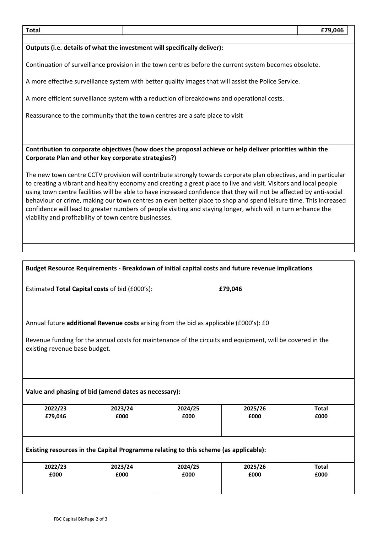| <b>Total</b>                                                                                                                                                                                                                                                                                                                                                                                                                                                                                                                                                                                                                                                |                                                     |                                                                                            |                                                                                                           | £79,046              |  |
|-------------------------------------------------------------------------------------------------------------------------------------------------------------------------------------------------------------------------------------------------------------------------------------------------------------------------------------------------------------------------------------------------------------------------------------------------------------------------------------------------------------------------------------------------------------------------------------------------------------------------------------------------------------|-----------------------------------------------------|--------------------------------------------------------------------------------------------|-----------------------------------------------------------------------------------------------------------|----------------------|--|
|                                                                                                                                                                                                                                                                                                                                                                                                                                                                                                                                                                                                                                                             |                                                     | Outputs (i.e. details of what the investment will specifically deliver):                   |                                                                                                           |                      |  |
|                                                                                                                                                                                                                                                                                                                                                                                                                                                                                                                                                                                                                                                             |                                                     |                                                                                            | Continuation of surveillance provision in the town centres before the current system becomes obsolete.    |                      |  |
|                                                                                                                                                                                                                                                                                                                                                                                                                                                                                                                                                                                                                                                             |                                                     |                                                                                            | A more effective surveillance system with better quality images that will assist the Police Service.      |                      |  |
|                                                                                                                                                                                                                                                                                                                                                                                                                                                                                                                                                                                                                                                             |                                                     | A more efficient surveillance system with a reduction of breakdowns and operational costs. |                                                                                                           |                      |  |
|                                                                                                                                                                                                                                                                                                                                                                                                                                                                                                                                                                                                                                                             |                                                     | Reassurance to the community that the town centres are a safe place to visit               |                                                                                                           |                      |  |
|                                                                                                                                                                                                                                                                                                                                                                                                                                                                                                                                                                                                                                                             |                                                     |                                                                                            |                                                                                                           |                      |  |
|                                                                                                                                                                                                                                                                                                                                                                                                                                                                                                                                                                                                                                                             | Corporate Plan and other key corporate strategies?) |                                                                                            | Contribution to corporate objectives (how does the proposal achieve or help deliver priorities within the |                      |  |
| The new town centre CCTV provision will contribute strongly towards corporate plan objectives, and in particular<br>to creating a vibrant and healthy economy and creating a great place to live and visit. Visitors and local people<br>using town centre facilities will be able to have increased confidence that they will not be affected by anti-social<br>behaviour or crime, making our town centres an even better place to shop and spend leisure time. This increased<br>confidence will lead to greater numbers of people visiting and staying longer, which will in turn enhance the<br>viability and profitability of town centre businesses. |                                                     |                                                                                            |                                                                                                           |                      |  |
|                                                                                                                                                                                                                                                                                                                                                                                                                                                                                                                                                                                                                                                             |                                                     |                                                                                            |                                                                                                           |                      |  |
|                                                                                                                                                                                                                                                                                                                                                                                                                                                                                                                                                                                                                                                             |                                                     |                                                                                            | Budget Resource Requirements - Breakdown of initial capital costs and future revenue implications         |                      |  |
| Estimated Total Capital costs of bid (£000's):<br>£79,046                                                                                                                                                                                                                                                                                                                                                                                                                                                                                                                                                                                                   |                                                     |                                                                                            |                                                                                                           |                      |  |
| Annual future additional Revenue costs arising from the bid as applicable (£000's): £0<br>Revenue funding for the annual costs for maintenance of the circuits and equipment, will be covered in the<br>existing revenue base budget.                                                                                                                                                                                                                                                                                                                                                                                                                       |                                                     |                                                                                            |                                                                                                           |                      |  |
| Value and phasing of bid (amend dates as necessary):                                                                                                                                                                                                                                                                                                                                                                                                                                                                                                                                                                                                        |                                                     |                                                                                            |                                                                                                           |                      |  |
| 2022/23<br>£79,046                                                                                                                                                                                                                                                                                                                                                                                                                                                                                                                                                                                                                                          | 2023/24<br>£000                                     | 2024/25<br>£000                                                                            | 2025/26<br>£000                                                                                           | <b>Total</b><br>£000 |  |
| Existing resources in the Capital Programme relating to this scheme (as applicable):                                                                                                                                                                                                                                                                                                                                                                                                                                                                                                                                                                        |                                                     |                                                                                            |                                                                                                           |                      |  |
| 2022/23<br>£000                                                                                                                                                                                                                                                                                                                                                                                                                                                                                                                                                                                                                                             | 2023/24<br>£000                                     | 2024/25<br>£000                                                                            | 2025/26<br>£000                                                                                           | <b>Total</b><br>£000 |  |
|                                                                                                                                                                                                                                                                                                                                                                                                                                                                                                                                                                                                                                                             |                                                     |                                                                                            |                                                                                                           |                      |  |